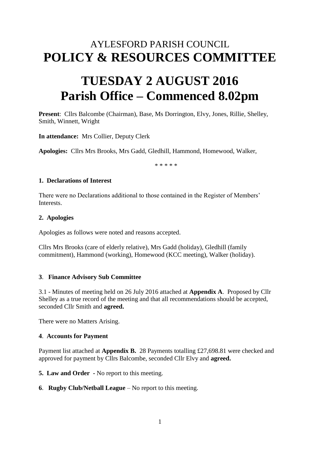# AYLESFORD PARISH COUNCIL **POLICY & RESOURCES COMMITTEE**

# **TUESDAY 2 AUGUST 2016 Parish Office – Commenced 8.02pm**

**Present**: Cllrs Balcombe (Chairman), Base, Ms Dorrington, Elvy, Jones, Rillie, Shelley, Smith, Winnett, Wright

**In attendance:** Mrs Collier, Deputy Clerk

**Apologies:** Cllrs Mrs Brooks, Mrs Gadd, Gledhill, Hammond, Homewood, Walker,

\* \* \* \* \*

#### **1. Declarations of Interest**

There were no Declarations additional to those contained in the Register of Members' **Interests** 

#### **2. Apologies**

Apologies as follows were noted and reasons accepted.

Cllrs Mrs Brooks (care of elderly relative), Mrs Gadd (holiday), Gledhill (family commitment), Hammond (working), Homewood (KCC meeting), Walker (holiday).

### **3**. **Finance Advisory Sub Committee**

3.1 - Minutes of meeting held on 26 July 2016 attached at **Appendix A**. Proposed by Cllr Shelley as a true record of the meeting and that all recommendations should be accepted, seconded Cllr Smith and **agreed.**

There were no Matters Arising.

### **4**. **Accounts for Payment**

Payment list attached at **Appendix B.** 28 Payments totalling £27,698.81 were checked and approved for payment by Cllrs Balcombe, seconded Cllr Elvy and **agreed.** 

**5. Law and Order -** No report to this meeting.

**6**. **Rugby Club/Netball League** – No report to this meeting.